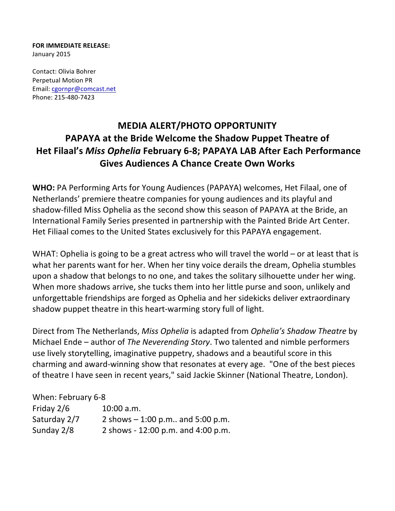## **FOR IMMEDIATE RELEASE:** January 2015

Contact: Olivia Bohrer Perpetual Motion PR Email: cgornpr@comcast.net Phone: 215-480-7423

## **MEDIA ALERT/PHOTO OPPORTUNITY PAPAYA at the Bride Welcome the Shadow Puppet Theatre of Het Filaal's Miss Ophelia February 6-8; PAPAYA LAB After Each Performance Gives Audiences A Chance Create Own Works**

**WHO:** PA Performing Arts for Young Audiences (PAPAYA) welcomes, Het Filaal, one of Netherlands' premiere theatre companies for young audiences and its playful and shadow-filled Miss Ophelia as the second show this season of PAPAYA at the Bride, an International Family Series presented in partnership with the Painted Bride Art Center. Het Filiaal comes to the United States exclusively for this PAPAYA engagement.

WHAT: Ophelia is going to be a great actress who will travel the world  $-$  or at least that is what her parents want for her. When her tiny voice derails the dream, Ophelia stumbles upon a shadow that belongs to no one, and takes the solitary silhouette under her wing. When more shadows arrive, she tucks them into her little purse and soon, unlikely and unforgettable friendships are forged as Ophelia and her sidekicks deliver extraordinary shadow puppet theatre in this heart-warming story full of light.

Direct from The Netherlands, *Miss Ophelia* is adapted from *Ophelia's Shadow Theatre* by Michael Ende – author of *The Neverending Story*. Two talented and nimble performers use lively storytelling, imaginative puppetry, shadows and a beautiful score in this charming and award-winning show that resonates at every age. "One of the best pieces of theatre I have seen in recent years," said Jackie Skinner (National Theatre, London).

## When: February 6-8

| Friday $2/6$ | $10:00$ a.m.                        |
|--------------|-------------------------------------|
| Saturday 2/7 | 2 shows $-1:00$ p.m., and 5:00 p.m. |
| Sunday 2/8   | 2 shows - 12:00 p.m. and 4:00 p.m.  |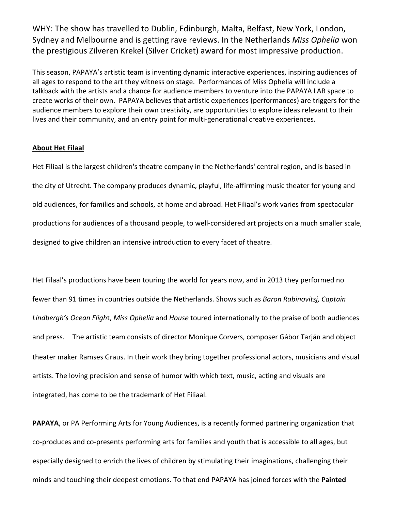WHY: The show has travelled to Dublin, Edinburgh, Malta, Belfast, New York, London, Sydney and Melbourne and is getting rave reviews. In the Netherlands Miss Ophelia won the prestigious Zilveren Krekel (Silver Cricket) award for most impressive production.

This season, PAPAYA's artistic team is inventing dynamic interactive experiences, inspiring audiences of all ages to respond to the art they witness on stage. Performances of Miss Ophelia will include a talkback with the artists and a chance for audience members to venture into the PAPAYA LAB space to create works of their own. PAPAYA believes that artistic experiences (performances) are triggers for the audience members to explore their own creativity, are opportunities to explore ideas relevant to their lives and their community, and an entry point for multi-generational creative experiences.

## **About Het Filaal**

Het Filiaal is the largest children's theatre company in the Netherlands' central region, and is based in the city of Utrecht. The company produces dynamic, playful, life-affirming music theater for young and old audiences, for families and schools, at home and abroad. Het Filiaal's work varies from spectacular productions for audiences of a thousand people, to well-considered art projects on a much smaller scale, designed to give children an intensive introduction to every facet of theatre.

Het Filaal's productions have been touring the world for years now, and in 2013 they performed no fewer than 91 times in countries outside the Netherlands. Shows such as *Baron Rabinovitsj, Captain* Lindbergh's Ocean Flight, Miss Ophelia and House toured internationally to the praise of both audiences and press. The artistic team consists of director Monique Corvers, composer Gábor Tarján and object theater maker Ramses Graus. In their work they bring together professional actors, musicians and visual artists. The loving precision and sense of humor with which text, music, acting and visuals are integrated, has come to be the trademark of Het Filiaal.

**PAPAYA**, or PA Performing Arts for Young Audiences, is a recently formed partnering organization that co-produces and co-presents performing arts for families and youth that is accessible to all ages, but especially designed to enrich the lives of children by stimulating their imaginations, challenging their minds and touching their deepest emotions. To that end PAPAYA has joined forces with the Painted